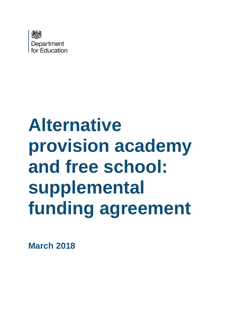

# **Alternative provision academy and free school: supplemental funding agreement**

**March 2018**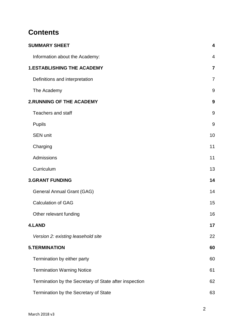# **Contents**

| <b>SUMMARY SHEET</b>                                   | $\overline{\mathbf{4}}$ |
|--------------------------------------------------------|-------------------------|
| Information about the Academy:                         | $\overline{4}$          |
| <b>1.ESTABLISHING THE ACADEMY</b>                      | $\overline{7}$          |
| Definitions and interpretation                         | $\overline{7}$          |
| The Academy                                            | 9                       |
| <b>2.RUNNING OF THE ACADEMY</b>                        | 9                       |
| <b>Teachers and staff</b>                              | 9                       |
| <b>Pupils</b>                                          | 9                       |
| <b>SEN unit</b>                                        | 10                      |
| Charging                                               | 11                      |
| Admissions                                             | 11                      |
| Curriculum                                             | 13                      |
| <b>3.GRANT FUNDING</b>                                 | 14                      |
| <b>General Annual Grant (GAG)</b>                      | 14                      |
| <b>Calculation of GAG</b>                              | 15                      |
| Other relevant funding                                 | 16                      |
| <b>4.LAND</b>                                          | 17                      |
| Version 2: existing leasehold site                     | 22                      |
| <b>5.TERMINATION</b>                                   | 60                      |
| Termination by either party                            | 60                      |
| <b>Termination Warning Notice</b>                      | 61                      |
| Termination by the Secretary of State after inspection | 62                      |
| Termination by the Secretary of State                  | 63                      |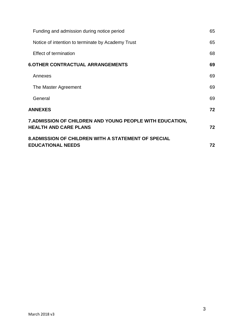| Funding and admission during notice period                                                | 65 |
|-------------------------------------------------------------------------------------------|----|
| Notice of intention to terminate by Academy Trust                                         | 65 |
| Effect of termination                                                                     | 68 |
| <b>6.OTHER CONTRACTUAL ARRANGEMENTS</b>                                                   | 69 |
| Annexes                                                                                   | 69 |
| The Master Agreement                                                                      | 69 |
| General                                                                                   | 69 |
| <b>ANNEXES</b>                                                                            | 72 |
| 7. ADMISSION OF CHILDREN AND YOUNG PEOPLE WITH EDUCATION,<br><b>HEALTH AND CARE PLANS</b> | 72 |
| <b>8.ADMISSION OF CHILDREN WITH A STATEMENT OF SPECIAL</b><br><b>EDUCATIONAL NEEDS</b>    | 72 |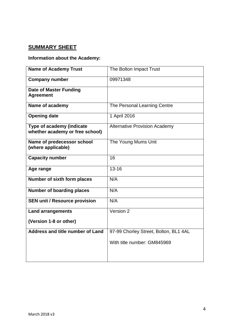# <span id="page-3-0"></span>**SUMMARY SHEET**

#### <span id="page-3-1"></span>**Information about the Academy:**

| <b>Name of Academy Trust</b>                                 | The Bolton Impact Trust               |
|--------------------------------------------------------------|---------------------------------------|
| <b>Company number</b>                                        | 09971348                              |
| <b>Date of Master Funding</b><br><b>Agreement</b>            |                                       |
| Name of academy                                              | The Personal Learning Centre          |
| <b>Opening date</b>                                          | 1 April 2016                          |
| Type of academy (indicate<br>whether academy or free school) | <b>Alternative Provision Academy</b>  |
| Name of predecessor school<br>(where applicable)             | The Young Mums Unit                   |
| <b>Capacity number</b>                                       | 16                                    |
| Age range                                                    | $13 - 16$                             |
| Number of sixth form places                                  | N/A                                   |
| <b>Number of boarding places</b>                             | N/A                                   |
| <b>SEN unit / Resource provision</b>                         | N/A                                   |
| <b>Land arrangements</b>                                     | Version 2                             |
| (Version 1-8 or other)                                       |                                       |
| Address and title number of Land                             | 97-99 Chorley Street, Bolton, BL1 4AL |
|                                                              | With title number: GM845969           |
|                                                              |                                       |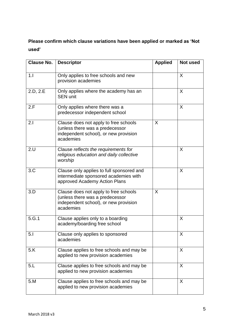**Please confirm which clause variations have been applied or marked as 'Not used'**

| <b>Clause No.</b> | <b>Descriptor</b>                                                                                                              | <b>Applied</b> | Not used |
|-------------------|--------------------------------------------------------------------------------------------------------------------------------|----------------|----------|
| 1.1               | Only applies to free schools and new<br>provision academies                                                                    |                | X        |
| 2.D, 2.E          | Only applies where the academy has an<br><b>SEN unit</b>                                                                       |                | X        |
| 2.F               | Only applies where there was a<br>predecessor independent school                                                               |                | X        |
| 2.1               | Clause does not apply to free schools<br>(unless there was a predecessor<br>independent school), or new provision<br>academies | X              |          |
| 2.U               | Clause reflects the requirements for<br>religious education and daily collective<br>worship                                    |                | X        |
| 3.C               | Clause only applies to full sponsored and<br>intermediate sponsored academies with<br>approved Academy Action Plans            |                | X        |
| 3.D               | Clause does not apply to free schools<br>(unless there was a predecessor<br>independent school), or new provision<br>academies | X              |          |
| 5.G.1             | Clause applies only to a boarding<br>academy/boarding free school                                                              |                | X        |
| 5.1               | Clause only applies to sponsored<br>academies                                                                                  |                | X        |
| 5.K               | Clause applies to free schools and may be<br>applied to new provision academies                                                |                | X        |
| 5.L               | Clause applies to free schools and may be<br>applied to new provision academies                                                |                | X        |
| 5.M               | Clause applies to free schools and may be<br>applied to new provision academies                                                |                | X        |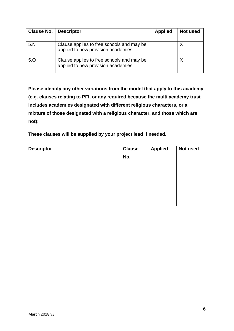| <b>Clause No.</b> | <b>Descriptor</b>                                                               | <b>Applied</b> | Not used |
|-------------------|---------------------------------------------------------------------------------|----------------|----------|
| 5. N              | Clause applies to free schools and may be<br>applied to new provision academies |                |          |
| 5.0               | Clause applies to free schools and may be<br>applied to new provision academies |                |          |

**Please identify any other variations from the model that apply to this academy (e.g. clauses relating to PFI, or any required because the multi academy trust includes academies designated with different religious characters, or a mixture of those designated with a religious character, and those which are not):**

**These clauses will be supplied by your project lead if needed.** 

| <b>Descriptor</b> | <b>Clause</b><br>No. | <b>Applied</b> | Not used |
|-------------------|----------------------|----------------|----------|
|                   |                      |                |          |
|                   |                      |                |          |
|                   |                      |                |          |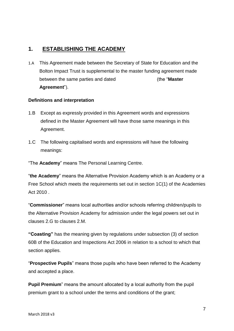# <span id="page-6-0"></span>**1. ESTABLISHING THE ACADEMY**

1.A This Agreement made between the Secretary of State for Education and the Bolton Impact Trust is supplemental to the master funding agreement made between the same parties and dated (the "**Master Agreement**").

#### <span id="page-6-1"></span>**Definitions and interpretation**

- 1.B Except as expressly provided in this Agreement words and expressions defined in the Master Agreement will have those same meanings in this Agreement.
- 1.C The following capitalised words and expressions will have the following meanings:
- "The **Academy**" means The Personal Learning Centre.

"**the Academy**" means the Alternative Provision Academy which is an Academy or a Free School which meets the requirements set out in section 1C(1) of the Academies Act 2010

"**Commissioner**" means local authorities and/or schools referring children/pupils to the Alternative Provision Academy for admission under the legal powers set out in clauses 2.G to clauses 2.M.

**"Coasting"** has the meaning given by regulations under subsection (3) of section 60B of the Education and Inspections Act 2006 in relation to a school to which that section applies.

"**Prospective Pupils**" means those pupils who have been referred to the Academy and accepted a place.

**Pupil Premium**" means the amount allocated by a local authority from the pupil premium grant to a school under the terms and conditions of the grant;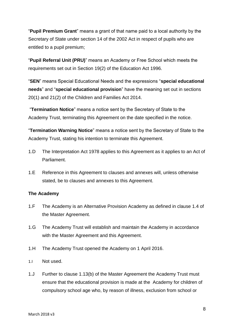"**Pupil Premium Grant**" means a grant of that name paid to a local authority by the Secretary of State under section 14 of the 2002 Act in respect of pupils who are entitled to a pupil premium;

"**Pupil Referral Unit (PRU)**" means an Academy or Free School which meets the requirements set out in Section 19(2) of the Education Act 1996.

"**SEN**" means Special Educational Needs and the expressions "**special educational needs**" and "**special educational provision**" have the meaning set out in sections 20(1) and 21(2) of the Children and Families Act 2014.

"**Termination Notice**" means a notice sent by the Secretary of State to the Academy Trust, terminating this Agreement on the date specified in the notice.

"**Termination Warning Notice**" means a notice sent by the Secretary of State to the Academy Trust, stating his intention to terminate this Agreement.

- 1.D The Interpretation Act 1978 applies to this Agreement as it applies to an Act of Parliament.
- 1.E Reference in this Agreement to clauses and annexes will, unless otherwise stated, be to clauses and annexes to this Agreement.

#### <span id="page-7-0"></span>**The Academy**

- 1.F The Academy is an Alternative Provision Academy as defined in clause 1.4 of the Master Agreement.
- 1.G The Academy Trust will establish and maintain the Academy in accordance with the Master Agreement and this Agreement.
- 1.H The Academy Trust opened the Academy on 1 April 2016.
- 1.I Not used.
- 1.J Further to clause 1.13(b) of the Master Agreement the Academy Trust must ensure that the educational provision is made at the Academy for children of compulsory school age who, by reason of illness, exclusion from school or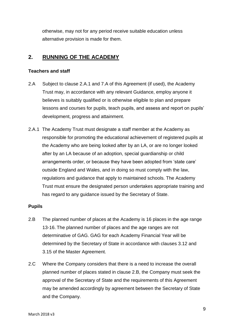otherwise, may not for any period receive suitable education unless alternative provision is made for them.

# <span id="page-8-0"></span>**2. RUNNING OF THE ACADEMY**

#### <span id="page-8-1"></span>**Teachers and staff**

- 2.A Subject to clause 2.A.1 and 7.A of this Agreement (if used), the Academy Trust may, in accordance with any relevant Guidance, employ anyone it believes is suitably qualified or is otherwise eligible to plan and prepare lessons and courses for pupils, teach pupils, and assess and report on pupils' development, progress and attainment.
- 2.A.1 The Academy Trust must designate a staff member at the Academy as responsible for promoting the educational achievement of registered pupils at the Academy who are being looked after by an LA, or are no longer looked after by an LA because of an adoption, special guardianship or child arrangements order, or because they have been adopted from 'state care' outside England and Wales, and in doing so must comply with the law, regulations and guidance that apply to maintained schools. The Academy Trust must ensure the designated person undertakes appropriate training and has regard to any guidance issued by the Secretary of State.

#### <span id="page-8-2"></span>**Pupils**

- 2.B The planned number of places at the Academy is 16 places in the age range 13-16. The planned number of places and the age ranges are not determinative of GAG. GAG for each Academy Financial Year will be determined by the Secretary of State in accordance with clauses 3.12 and 3.15 of the Master Agreement.
- 2.C Where the Company considers that there is a need to increase the overall planned number of places stated in clause 2.B, the Company must seek the approval of the Secretary of State and the requirements of this Agreement may be amended accordingly by agreement between the Secretary of State and the Company.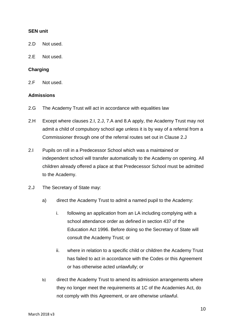#### <span id="page-9-0"></span>**SEN unit**

- 2.D Not used.
- 2.E Not used.

#### <span id="page-9-1"></span>**Charging**

2.F Not used.

#### <span id="page-9-2"></span>**Admissions**

- 2.G The Academy Trust will act in accordance with equalities law
- 2.H Except where clauses 2.I, 2.J, 7.A and 8.A apply, the Academy Trust may not admit a child of compulsory school age unless it is by way of a referral from a Commissioner through one of the referral routes set out in Clause 2.J
- 2.I Pupils on roll in a Predecessor School which was a maintained or independent school will transfer automatically to the Academy on opening. All children already offered a place at that Predecessor School must be admitted to the Academy.
- 2.J The Secretary of State may:
	- a) direct the Academy Trust to admit a named pupil to the Academy:
		- i. following an application from an LA including complying with a school attendance order as defined in section 437 of the Education Act 1996. Before doing so the Secretary of State will consult the Academy Trust; or
		- ii. where in relation to a specific child or children the Academy Trust has failed to act in accordance with the Codes or this Agreement or has otherwise acted unlawfully; or
	- b) direct the Academy Trust to amend its admission arrangements where they no longer meet the requirements at 1C of the Academies Act, do not comply with this Agreement, or are otherwise unlawful.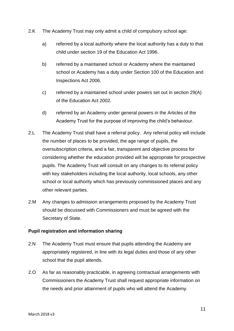- 2.K The Academy Trust may only admit a child of compulsory school age:
	- a) referred by a local authority where the local authority has a duty to that child under section 19 of the Education Act 1996.
	- b) referred by a maintained school or Academy where the maintained school or Academy has a duty under Section 100 of the Education and Inspections Act 2006.
	- c) referred by a maintained school under powers set out in section 29(A) of the Education Act 2002.
	- d) referred by an Academy under general powers in the Articles of the Academy Trust for the purpose of improving the child's behaviour.
- 2.L The Academy Trust shall have a referral policy. Any referral policy will include the number of places to be provided, the age range of pupils, the oversubscription criteria, and a fair, transparent and objective process for considering whether the education provided will be appropriate for prospective pupils. The Academy Trust will consult on any changes to its referral policy with key stakeholders including the local authority, local schools, any other school or local authority which has previously commissioned places and any other relevant parties.
- 2.M Any changes to admission arrangements proposed by the Academy Trust should be discussed with Commissioners and must be agreed with the Secretary of State.

#### **Pupil registration and information sharing**

- 2.N The Academy Trust must ensure that pupils attending the Academy are appropriately registered, in line with its legal duties and those of any other school that the pupil attends.
- 2.O As far as reasonably practicable, in agreeing contractual arrangements with Commissioners the Academy Trust shall request appropriate information on the needs and prior attainment of pupils who will attend the Academy.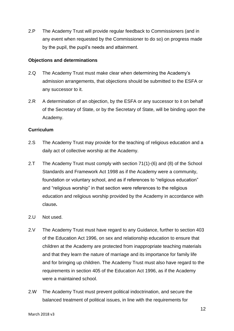2.P The Academy Trust will provide regular feedback to Commissioners (and in any event when requested by the Commissioner to do so) on progress made by the pupil, the pupil's needs and attainment.

#### **Objections and determinations**

- 2.Q The Academy Trust must make clear when determining the Academy's admission arrangements, that objections should be submitted to the ESFA or any successor to it.
- 2.R A determination of an objection, by the ESFA or any successor to it on behalf of the Secretary of State, or by the Secretary of State, will be binding upon the Academy.

#### <span id="page-11-0"></span>**Curriculum**

- 2.S The Academy Trust may provide for the teaching of religious education and a daily act of collective worship at the Academy.
- 2.T The Academy Trust must comply with section 71(1)-(6) and (8) of the School Standards and Framework Act 1998 as if the Academy were a community, foundation or voluntary school, and as if references to "religious education" and "religious worship" in that section were references to the religious education and religious worship provided by the Academy in accordance with clause*.*
- 2.U Not used.
- 2.V The Academy Trust must have regard to any Guidance, further to section 403 of the Education Act 1996, on sex and relationship education to ensure that children at the Academy are protected from inappropriate teaching materials and that they learn the nature of marriage and its importance for family life and for bringing up children. The Academy Trust must also have regard to the requirements in section 405 of the Education Act 1996, as if the Academy were a maintained school.
- 2.W The Academy Trust must prevent political indoctrination, and secure the balanced treatment of political issues, in line with the requirements for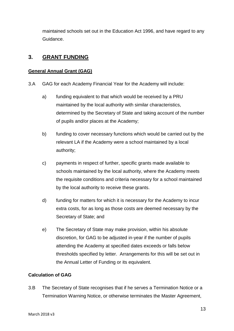maintained schools set out in the Education Act 1996, and have regard to any Guidance.

# <span id="page-12-0"></span>**3. GRANT FUNDING**

#### <span id="page-12-1"></span>**General Annual Grant (GAG)**

- 3.A GAG for each Academy Financial Year for the Academy will include:
	- a) funding equivalent to that which would be received by a PRU maintained by the local authority with similar characteristics, determined by the Secretary of State and taking account of the number of pupils and/or places at the Academy;
	- b) funding to cover necessary functions which would be carried out by the relevant LA if the Academy were a school maintained by a local authority;
	- c) payments in respect of further, specific grants made available to schools maintained by the local authority, where the Academy meets the requisite conditions and criteria necessary for a school maintained by the local authority to receive these grants.
	- d) funding for matters for which it is necessary for the Academy to incur extra costs, for as long as those costs are deemed necessary by the Secretary of State; and
	- e) The Secretary of State may make provision, within his absolute discretion, for GAG to be adjusted in-year if the number of pupils attending the Academy at specified dates exceeds or falls below thresholds specified by letter. Arrangements for this will be set out in the Annual Letter of Funding or its equivalent.

## <span id="page-12-2"></span>**Calculation of GAG**

3.B The Secretary of State recognises that if he serves a Termination Notice or a Termination Warning Notice, or otherwise terminates the Master Agreement,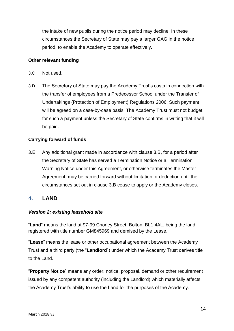the intake of new pupils during the notice period may decline. In these circumstances the Secretary of State may pay a larger GAG in the notice period, to enable the Academy to operate effectively.

#### <span id="page-13-0"></span>**Other relevant funding**

- 3.C Not used.
- 3.D The Secretary of State may pay the Academy Trust's costs in connection with the transfer of employees from a Predecessor School under the Transfer of Undertakings (Protection of Employment) Regulations 2006. Such payment will be agreed on a case-by-case basis. The Academy Trust must not budget for such a payment unless the Secretary of State confirms in writing that it will be paid.

#### **Carrying forward of funds**

3.E Any additional grant made in accordance with clause 3.B, for a period after the Secretary of State has served a Termination Notice or a Termination Warning Notice under this Agreement, or otherwise terminates the Master Agreement, may be carried forward without limitation or deduction until the circumstances set out in clause 3.B cease to apply or the Academy closes.

## <span id="page-13-1"></span>**4. LAND**

#### <span id="page-13-2"></span>*Version 2: existing leasehold site*

"**Land**" means the land at 97-99 Chorley Street, Bolton, BL1 4AL, being the land registered with title number GM845969 and demised by the Lease.

"**Lease**" means the lease or other occupational agreement between the Academy Trust and a third party (the "**Landlord**") under which the Academy Trust derives title to the Land.

"**Property Notice**" means any order, notice, proposal, demand or other requirement issued by any competent authority (including the Landlord) which materially affects the Academy Trust's ability to use the Land for the purposes of the Academy.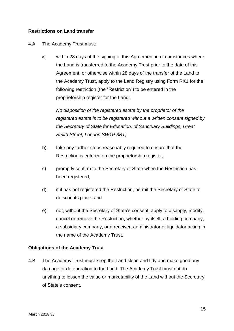#### **Restrictions on Land transfer**

#### 4.A The Academy Trust must:

a) within 28 days of the signing of this Agreement in circumstances where the Land is transferred to the Academy Trust prior to the date of this Agreement, or otherwise within 28 days of the transfer of the Land to the Academy Trust, apply to the Land Registry using Form RX1 for the following restriction (the "Restriction") to be entered in the proprietorship register for the Land:

*No disposition of the registered estate by the proprietor of the registered estate is to be registered without a written consent signed by the Secretary of State for Education, of Sanctuary Buildings, Great Smith Street, London SW1P 3BT;*

- b) take any further steps reasonably required to ensure that the Restriction is entered on the proprietorship register;
- c) promptly confirm to the Secretary of State when the Restriction has been registered;
- d) if it has not registered the Restriction, permit the Secretary of State to do so in its place; and
- e) not, without the Secretary of State's consent, apply to disapply, modify, cancel or remove the Restriction, whether by itself, a holding company, a subsidiary company, or a receiver, administrator or liquidator acting in the name of the Academy Trust.

#### **Obligations of the Academy Trust**

4.B The Academy Trust must keep the Land clean and tidy and make good any damage or deterioration to the Land. The Academy Trust must not do anything to lessen the value or marketability of the Land without the Secretary of State's consent.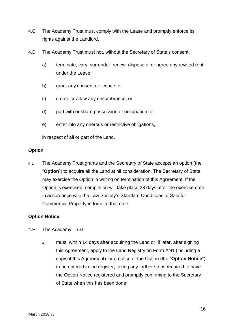- 4.C The Academy Trust must comply with the Lease and promptly enforce its rights against the Landlord.
- 4.D The Academy Trust must not, without the Secretary of State's consent:
	- a) terminate, vary, surrender, renew, dispose of or agree any revised rent under the Lease;
	- b) grant any consent or licence; or
	- c) create or allow any encumbrance; or
	- d) part with or share possession or occupation; or
	- e) enter into any onerous or restrictive obligations,

in respect of all or part of the Land.

#### **Option**

4.E The Academy Trust grants and the Secretary of State accepts an option (the "**Option**") to acquire all the Land at nil consideration. The Secretary of State may exercise the Option in writing on termination of this Agreement. If the Option is exercised, completion will take place 28 days after the exercise date in accordance with the Law Society's Standard Conditions of Sale for Commercial Property in force at that date.

#### **Option Notice**

- 4.F The Academy Trust:
	- a) must, within 14 days after acquiring the Land or, if later, after signing this Agreement, apply to the Land Registry on Form AN1 (including a copy of this Agreement) for a notice of the Option (the "**Option Notice**") to be entered in the register, taking any further steps required to have the Option Notice registered and promptly confirming to the Secretary of State when this has been done;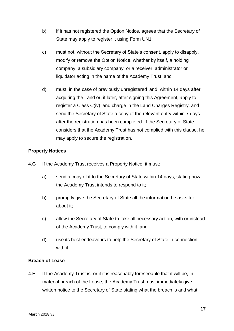- b) if it has not registered the Option Notice, agrees that the Secretary of State may apply to register it using Form UN1;
- c) must not, without the Secretary of State's consent, apply to disapply, modify or remove the Option Notice, whether by itself, a holding company, a subsidiary company, or a receiver, administrator or liquidator acting in the name of the Academy Trust, and
- d) must, in the case of previously unregistered land, within 14 days after acquiring the Land or, if later, after signing this Agreement, apply to register a Class C(iv) land charge in the Land Charges Registry, and send the Secretary of State a copy of the relevant entry within 7 days after the registration has been completed. If the Secretary of State considers that the Academy Trust has not complied with this clause, he may apply to secure the registration.

#### **Property Notices**

- 4.G If the Academy Trust receives a Property Notice, it must:
	- a) send a copy of it to the Secretary of State within 14 days, stating how the Academy Trust intends to respond to it;
	- b) promptly give the Secretary of State all the information he asks for about it;
	- c) allow the Secretary of State to take all necessary action, with or instead of the Academy Trust, to comply with it, and
	- d) use its best endeavours to help the Secretary of State in connection with it.

#### **Breach of Lease**

4.H If the Academy Trust is, or if it is reasonably foreseeable that it will be, in material breach of the Lease, the Academy Trust must immediately give written notice to the Secretary of State stating what the breach is and what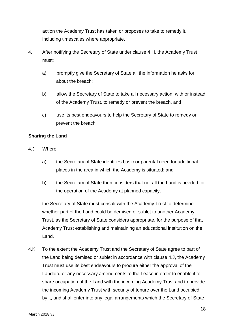action the Academy Trust has taken or proposes to take to remedy it, including timescales where appropriate.

- 4.I After notifying the Secretary of State under clause 4.H, the Academy Trust must:
	- a) promptly give the Secretary of State all the information he asks for about the breach;
	- b) allow the Secretary of State to take all necessary action, with or instead of the Academy Trust, to remedy or prevent the breach, and
	- c) use its best endeavours to help the Secretary of State to remedy or prevent the breach.

#### **Sharing the Land**

- 4.J Where:
	- a) the Secretary of State identifies basic or parental need for additional places in the area in which the Academy is situated; and
	- b) the Secretary of State then considers that not all the Land is needed for the operation of the Academy at planned capacity,

the Secretary of State must consult with the Academy Trust to determine whether part of the Land could be demised or sublet to another Academy Trust, as the Secretary of State considers appropriate, for the purpose of that Academy Trust establishing and maintaining an educational institution on the Land.

4.K To the extent the Academy Trust and the Secretary of State agree to part of the Land being demised or sublet in accordance with clause 4.J, the Academy Trust must use its best endeavours to procure either the approval of the Landlord or any necessary amendments to the Lease in order to enable it to share occupation of the Land with the incoming Academy Trust and to provide the incoming Academy Trust with security of tenure over the Land occupied by it, and shall enter into any legal arrangements which the Secretary of State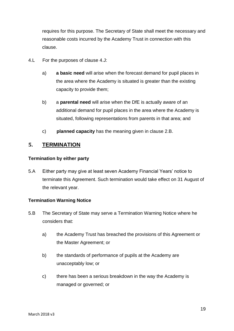requires for this purpose. The Secretary of State shall meet the necessary and reasonable costs incurred by the Academy Trust in connection with this clause.

- 4.L For the purposes of clause 4.J:
	- a) **a basic need** will arise when the forecast demand for pupil places in the area where the Academy is situated is greater than the existing capacity to provide them;
	- b) a **parental need** will arise when the DfE is actually aware of an additional demand for pupil places in the area where the Academy is situated, following representations from parents in that area; and
	- c) **planned capacity** has the meaning given in clause 2.B.

# <span id="page-18-0"></span>**5. TERMINATION**

#### <span id="page-18-1"></span>**Termination by either party**

5.A Either party may give at least seven Academy Financial Years' notice to terminate this Agreement. Such termination would take effect on 31 August of the relevant year.

#### <span id="page-18-2"></span>**Termination Warning Notice**

- 5.B The Secretary of State may serve a Termination Warning Notice where he considers that:
	- a) the Academy Trust has breached the provisions of this Agreement or the Master Agreement; or
	- b) the standards of performance of pupils at the Academy are unacceptably low; or
	- c) there has been a serious breakdown in the way the Academy is managed or governed; or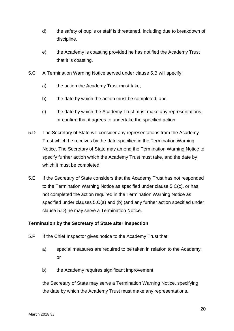- d) the safety of pupils or staff is threatened, including due to breakdown of discipline.
- e) the Academy is coasting provided he has notified the Academy Trust that it is coasting.
- 5.C A Termination Warning Notice served under clause 5.B will specify:
	- a) the action the Academy Trust must take;
	- b) the date by which the action must be completed; and
	- c) the date by which the Academy Trust must make any representations, or confirm that it agrees to undertake the specified action.
- 5.D The Secretary of State will consider any representations from the Academy Trust which he receives by the date specified in the Termination Warning Notice. The Secretary of State may amend the Termination Warning Notice to specify further action which the Academy Trust must take, and the date by which it must be completed.
- 5.E If the Secretary of State considers that the Academy Trust has not responded to the Termination Warning Notice as specified under clause 5.C(c), or has not completed the action required in the Termination Warning Notice as specified under clauses 5.C(a) and (b) (and any further action specified under clause 5.D) he may serve a Termination Notice.

#### <span id="page-19-0"></span>**Termination by the Secretary of State after inspection**

- 5.F If the Chief Inspector gives notice to the Academy Trust that:
	- a) special measures are required to be taken in relation to the Academy; or
	- b) the Academy requires significant improvement

the Secretary of State may serve a Termination Warning Notice, specifying the date by which the Academy Trust must make any representations.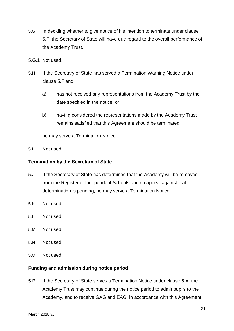- 5.G In deciding whether to give notice of his intention to terminate under clause 5.F, the Secretary of State will have due regard to the overall performance of the Academy Trust.
- 5.G.1 Not used.
- 5.H If the Secretary of State has served a Termination Warning Notice under clause 5.F and:
	- a) has not received any representations from the Academy Trust by the date specified in the notice; or
	- b) having considered the representations made by the Academy Trust remains satisfied that this Agreement should be terminated;

he may serve a Termination Notice.

5.I Not used.

#### <span id="page-20-0"></span>**Termination by the Secretary of State**

- 5.J If the Secretary of State has determined that the Academy will be removed from the Register of Independent Schools and no appeal against that determination is pending, he may serve a Termination Notice.
- 5.K Not used.
- 5.L Not used.
- 5.M Not used.
- 5.N Not used.
- 5.O Not used.

#### <span id="page-20-1"></span>**Funding and admission during notice period**

5.P If the Secretary of State serves a Termination Notice under clause 5.A, the Academy Trust may continue during the notice period to admit pupils to the Academy, and to receive GAG and EAG, in accordance with this Agreement.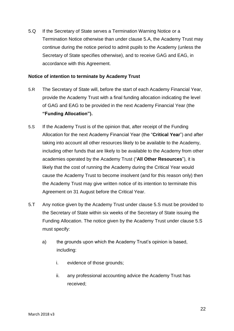5.Q If the Secretary of State serves a Termination Warning Notice or a Termination Notice otherwise than under clause 5.A, the Academy Trust may continue during the notice period to admit pupils to the Academy (unless the Secretary of State specifies otherwise), and to receive GAG and EAG, in accordance with this Agreement.

#### <span id="page-21-0"></span>**Notice of intention to terminate by Academy Trust**

- 5.R The Secretary of State will, before the start of each Academy Financial Year, provide the Academy Trust with a final funding allocation indicating the level of GAG and EAG to be provided in the next Academy Financial Year (the **"Funding Allocation").**
- 5.S If the Academy Trust is of the opinion that, after receipt of the Funding Allocation for the next Academy Financial Year (the "**Critical Year**") and after taking into account all other resources likely to be available to the Academy, including other funds that are likely to be available to the Academy from other academies operated by the Academy Trust ("**All Other Resources**"), it is likely that the cost of running the Academy during the Critical Year would cause the Academy Trust to become insolvent (and for this reason only) then the Academy Trust may give written notice of its intention to terminate this Agreement on 31 August before the Critical Year.
- 5.T Any notice given by the Academy Trust under clause 5.S must be provided to the Secretary of State within six weeks of the Secretary of State issuing the Funding Allocation. The notice given by the Academy Trust under clause 5.S must specify:
	- a) the grounds upon which the Academy Trust's opinion is based, including:
		- i. evidence of those grounds;
		- ii. any professional accounting advice the Academy Trust has received;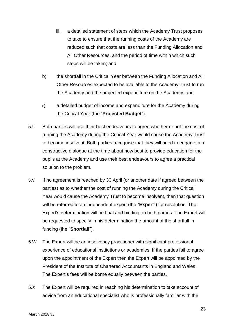- iii. a detailed statement of steps which the Academy Trust proposes to take to ensure that the running costs of the Academy are reduced such that costs are less than the Funding Allocation and All Other Resources, and the period of time within which such steps will be taken; and
- b) the shortfall in the Critical Year between the Funding Allocation and All Other Resources expected to be available to the Academy Trust to run the Academy and the projected expenditure on the Academy; and
- c) a detailed budget of income and expenditure for the Academy during the Critical Year (the "**Projected Budget**").
- 5.U Both parties will use their best endeavours to agree whether or not the cost of running the Academy during the Critical Year would cause the Academy Trust to become insolvent. Both parties recognise that they will need to engage in a constructive dialogue at the time about how best to provide education for the pupils at the Academy and use their best endeavours to agree a practical solution to the problem.
- 5.V If no agreement is reached by 30 April (or another date if agreed between the parties) as to whether the cost of running the Academy during the Critical Year would cause the Academy Trust to become insolvent, then that question will be referred to an independent expert (the "**Expert**") for resolution. The Expert's determination will be final and binding on both parties. The Expert will be requested to specify in his determination the amount of the shortfall in funding (the "**Shortfall**").
- 5.W The Expert will be an insolvency practitioner with significant professional experience of educational institutions or academies. If the parties fail to agree upon the appointment of the Expert then the Expert will be appointed by the President of the Institute of Chartered Accountants in England and Wales. The Expert's fees will be borne equally between the parties.
- 5.X The Expert will be required in reaching his determination to take account of advice from an educational specialist who is professionally familiar with the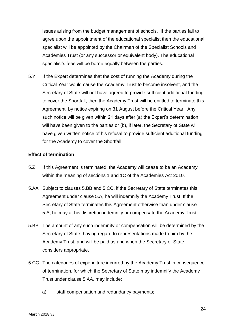issues arising from the budget management of schools. If the parties fail to agree upon the appointment of the educational specialist then the educational specialist will be appointed by the Chairman of the Specialist Schools and Academies Trust (or any successor or equivalent body). The educational specialist's fees will be borne equally between the parties.

5.Y If the Expert determines that the cost of running the Academy during the Critical Year would cause the Academy Trust to become insolvent, and the Secretary of State will not have agreed to provide sufficient additional funding to cover the Shortfall, then the Academy Trust will be entitled to terminate this Agreement, by notice expiring on 31 August before the Critical Year. Any such notice will be given within 21 days after (a) the Expert's determination will have been given to the parties or (b), if later, the Secretary of State will have given written notice of his refusal to provide sufficient additional funding for the Academy to cover the Shortfall.

#### <span id="page-23-0"></span>**Effect of termination**

- 5.Z If this Agreement is terminated, the Academy will cease to be an Academy within the meaning of sections 1 and 1C of the Academies Act 2010.
- 5.AA Subject to clauses 5.BB and 5.CC, if the Secretary of State terminates this Agreement under clause 5.A, he will indemnify the Academy Trust. If the Secretary of State terminates this Agreement otherwise than under clause 5.A, he may at his discretion indemnify or compensate the Academy Trust.
- 5.BB The amount of any such indemnity or compensation will be determined by the Secretary of State, having regard to representations made to him by the Academy Trust, and will be paid as and when the Secretary of State considers appropriate.
- 5.CC The categories of expenditure incurred by the Academy Trust in consequence of termination, for which the Secretary of State may indemnify the Academy Trust under clause 5.AA, may include:
	- a) staff compensation and redundancy payments;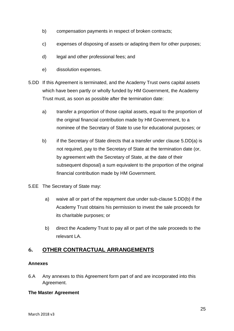- b) compensation payments in respect of broken contracts;
- c) expenses of disposing of assets or adapting them for other purposes;
- d) legal and other professional fees; and
- e) dissolution expenses.
- 5.DD If this Agreement is terminated, and the Academy Trust owns capital assets which have been partly or wholly funded by HM Government, the Academy Trust must, as soon as possible after the termination date:
	- a) transfer a proportion of those capital assets, equal to the proportion of the original financial contribution made by HM Government, to a nominee of the Secretary of State to use for educational purposes; or
	- b) if the Secretary of State directs that a transfer under clause 5.DD(a) is not required, pay to the Secretary of State at the termination date (or, by agreement with the Secretary of State, at the date of their subsequent disposal) a sum equivalent to the proportion of the original financial contribution made by HM Government.
- 5.EE The Secretary of State may:
	- a) waive all or part of the repayment due under sub-clause 5.DD(b) if the Academy Trust obtains his permission to invest the sale proceeds for its charitable purposes; or
	- b) direct the Academy Trust to pay all or part of the sale proceeds to the relevant LA.

# <span id="page-24-0"></span>**6. OTHER CONTRACTUAL ARRANGEMENTS**

#### <span id="page-24-1"></span>**Annexes**

6.A Any annexes to this Agreement form part of and are incorporated into this Agreement.

#### <span id="page-24-2"></span>**The Master Agreement**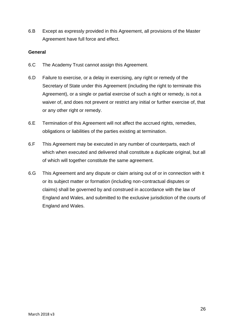6.B Except as expressly provided in this Agreement, all provisions of the Master Agreement have full force and effect.

#### <span id="page-25-0"></span>**General**

- 6.C The Academy Trust cannot assign this Agreement.
- 6.D Failure to exercise, or a delay in exercising, any right or remedy of the Secretary of State under this Agreement (including the right to terminate this Agreement), or a single or partial exercise of such a right or remedy, is not a waiver of, and does not prevent or restrict any initial or further exercise of, that or any other right or remedy.
- 6.E Termination of this Agreement will not affect the accrued rights, remedies, obligations or liabilities of the parties existing at termination.
- 6.F This Agreement may be executed in any number of counterparts, each of which when executed and delivered shall constitute a duplicate original, but all of which will together constitute the same agreement.
- 6.G This Agreement and any dispute or claim arising out of or in connection with it or its subject matter or formation (including non-contractual disputes or claims) shall be governed by and construed in accordance with the law of England and Wales, and submitted to the exclusive jurisdiction of the courts of England and Wales.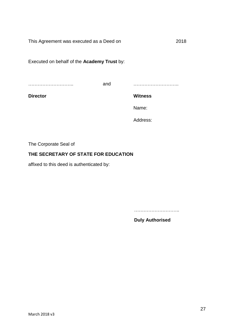This Agreement was executed as a Deed on 2018

Executed on behalf of the **Academy Trust** by:

………………………..

and ………………………..

**Director**

**Witness**

Name:

Address:

The Corporate Seal of

## **THE SECRETARY OF STATE FOR EDUCATION**

affixed to this deed is authenticated by:

………………………..

**Duly Authorised**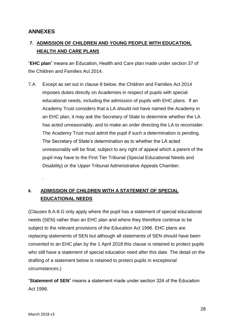# <span id="page-27-0"></span>**ANNEXES**

# <span id="page-27-1"></span>**7. ADMISSION OF CHILDREN AND YOUNG PEOPLE WITH EDUCATION, HEALTH AND CARE PLANS**

"**EHC plan**" means an Education, Health and Care plan made under section 37 of the Children and Families Act 2014.

7.A Except as set out in clause 8 below, the Children and Families Act 2014 imposes duties directly on Academies in respect of pupils with special educational needs, including the admission of pupils with EHC plans. If an Academy Trust considers that a LA should not have named the Academy in an EHC plan, it may ask the Secretary of State to determine whether the LA has acted unreasonably, and to make an order directing the LA to reconsider. The Academy Trust must admit the pupil if such a determination is pending. The Secretary of State's determination as to whether the LA acted unreasonably will be final, subject to any right of appeal which a parent of the pupil may have to the First Tier Tribunal (Special Educational Needs and Disability) or the Upper Tribunal Administrative Appeals Chamber.

# <span id="page-27-2"></span>**8. ADMISSION OF CHILDREN WITH A STATEMENT OF SPECIAL EDUCATIONAL NEEDS**

(Clauses 8.A-8.G only apply where the pupil has a statement of special educational needs (SEN) rather than an EHC plan and where they therefore continue to be subject to the relevant provisions of the Education Act 1996. EHC plans are replacing statements of SEN but although all statements of SEN should have been converted to an EHC plan by the 1 April 2018 this clause is retained to protect pupils who still have a statement of special education need after this date. The detail on the drafting of a statement below is retained to protect pupils in exceptional circumstances.)

"**Statement of SEN**" means a statement made under section 324 of the Education Act 1996.

.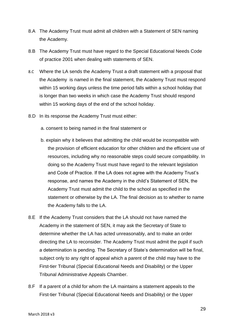- 8.A The Academy Trust must admit all children with a Statement of SEN naming the Academy.
- 8.B The Academy Trust must have regard to the Special Educational Needs Code of practice 2001 when dealing with statements of SEN.
- 8.C Where the LA sends the Academy Trust a draft statement with a proposal that the Academy is named in the final statement, the Academy Trust must respond within 15 working days unless the time period falls within a school holiday that is longer than two weeks in which case the Academy Trust should respond within 15 working days of the end of the school holiday.
- 8.D In its response the Academy Trust must either:
	- a. consent to being named in the final statement or
	- b. explain why it believes that admitting the child would be incompatible with the provision of efficient education for other children and the efficient use of resources, including why no reasonable steps could secure compatibility. In doing so the Academy Trust must have regard to the relevant legislation and Code of Practice. If the LA does not agree with the Academy Trust's response, and names the Academy in the child's Statement of SEN, the Academy Trust must admit the child to the school as specified in the statement or otherwise by the LA. The final decision as to whether to name the Academy falls to the LA.
- 8.E If the Academy Trust considers that the LA should not have named the Academy in the statement of SEN, it may ask the Secretary of State to determine whether the LA has acted unreasonably, and to make an order directing the LA to reconsider. The Academy Trust must admit the pupil if such a determination is pending. The Secretary of State's determination will be final, subject only to any right of appeal which a parent of the child may have to the First-tier Tribunal (Special Educational Needs and Disability) or the Upper Tribunal Administrative Appeals Chamber.
- 8.F If a parent of a child for whom the LA maintains a statement appeals to the First-tier Tribunal (Special Educational Needs and Disability) or the Upper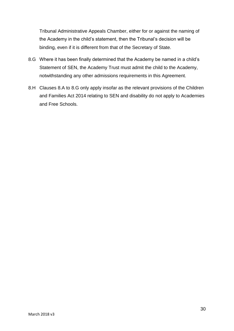Tribunal Administrative Appeals Chamber, either for or against the naming of the Academy in the child's statement, then the Tribunal's decision will be binding, even if it is different from that of the Secretary of State.

- 8.G Where it has been finally determined that the Academy be named in a child's Statement of SEN, the Academy Trust must admit the child to the Academy, notwithstanding any other admissions requirements in this Agreement.
- 8.H Clauses 8.A to 8.G only apply insofar as the relevant provisions of the Children and Families Act 2014 relating to SEN and disability do not apply to Academies and Free Schools.